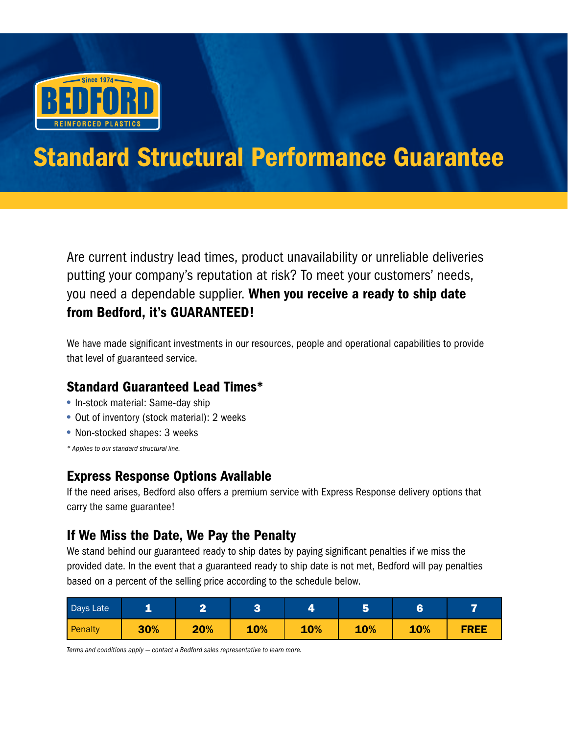

# Standard Structural Performance Guarantee

Are current industry lead times, product unavailability or unreliable deliveries putting your company's reputation at risk? To meet your customers' needs, you need a dependable supplier. When you receive a ready to ship date from Bedford, it's GUARANTEED!

We have made significant investments in our resources, people and operational capabilities to provide that level of guaranteed service.

## Standard Guaranteed Lead Times\*

- In-stock material: Same-day ship
- Out of inventory (stock material): 2 weeks
- Non-stocked shapes: 3 weeks

*\* Applies to our standard structural line.*

### Express Response Options Available

If the need arises, Bedford also offers a premium service with Express Response delivery options that carry the same guarantee!

### If We Miss the Date, We Pay the Penalty

We stand behind our guaranteed ready to ship dates by paying significant penalties if we miss the provided date. In the event that a guaranteed ready to ship date is not met, Bedford will pay penalties based on a percent of the selling price according to the schedule below.

| Days Late |     |     |     |     |     | e   |             |
|-----------|-----|-----|-----|-----|-----|-----|-------------|
| Penalty   | 30% | 20% | 10% | 10% | 10% | 10% | <b>FREE</b> |

*Terms and conditions apply — contact a Bedford sales representative to learn more.*